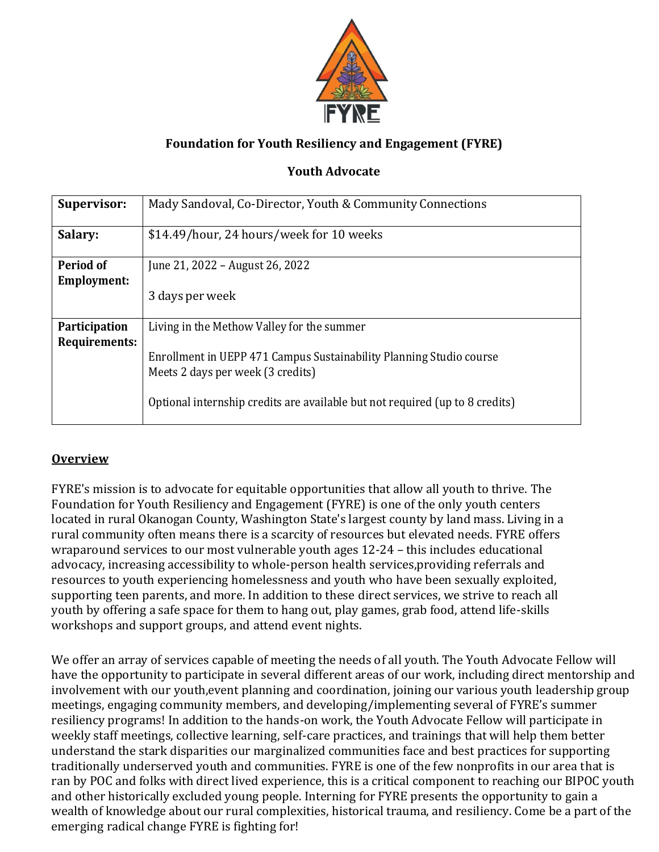

# **Foundation for Youth Resiliency and Engagement (FYRE)**

# **Youth Advocate**

| <b>Supervisor:</b>   | Mady Sandoval, Co-Director, Youth & Community Connections                                                                                                                                |
|----------------------|------------------------------------------------------------------------------------------------------------------------------------------------------------------------------------------|
| Salary:              | \$14.49/hour, 24 hours/week for 10 weeks                                                                                                                                                 |
| Period of            | June 21, 2022 – August 26, 2022                                                                                                                                                          |
| <b>Employment:</b>   |                                                                                                                                                                                          |
|                      | 3 days per week                                                                                                                                                                          |
| Participation        | Living in the Methow Valley for the summer                                                                                                                                               |
| <b>Requirements:</b> | Enrollment in UEPP 471 Campus Sustainability Planning Studio course<br>Meets 2 days per week (3 credits)<br>Optional internship credits are available but not required (up to 8 credits) |

# **Overview**

FYRE's mission is to advocate for equitable opportunities that allow all youth to thrive. The Foundation for Youth Resiliency and Engagement (FYRE) is one of the only youth centers located in rural Okanogan County, Washington State's largest county by land mass. Living in a rural community often means there is a scarcity of resources but elevated needs. FYRE offers wraparound services to our most vulnerable youth ages 12-24 – this includes educational advocacy, increasing accessibility to whole-person health services,providing referrals and resources to youth experiencing homelessness and youth who have been sexually exploited, supporting teen parents, and more. In addition to these direct services, we strive to reach all youth by offering a safe space for them to hang out, play games, grab food, attend life-skills workshops and support groups, and attend event nights.

We offer an array of services capable of meeting the needs of all youth. The Youth Advocate Fellow will have the opportunity to participate in several different areas of our work, including direct mentorship and involvement with our youth,event planning and coordination, joining our various youth leadership group meetings, engaging community members, and developing/implementing several of FYRE's summer resiliency programs! In addition to the hands-on work, the Youth Advocate Fellow will participate in weekly staff meetings, collective learning, self-care practices, and trainings that will help them better understand the stark disparities our marginalized communities face and best practices for supporting traditionally underserved youth and communities. FYRE is one of the few nonprofits in our area that is ran by POC and folks with direct lived experience, this is a critical component to reaching our BIPOC youth and other historically excluded young people. Interning for FYRE presents the opportunity to gain a wealth of knowledge about our rural complexities, historical trauma, and resiliency. Come be a part of the emerging radical change FYRE is fighting for!